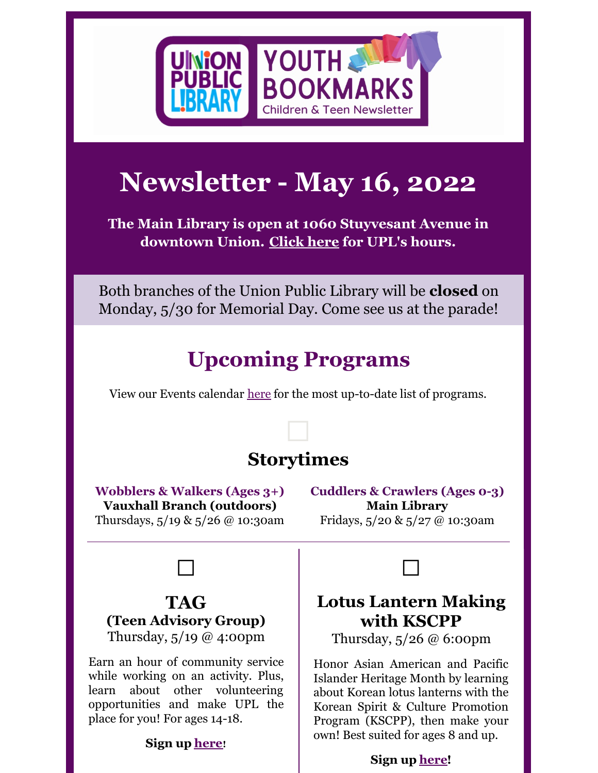

# **Newsletter - May 16, 2022**

**The Main Library is open at 1060 Stuyvesant Avenue in downtown Union. [Click](https://uplnj.org/main-library-reopening-1-31-22/) here for UPL's hours.**

Both branches of the Union Public Library will be **closed** on Monday, 5/30 for Memorial Day. Come see us at the parade!

# **Upcoming Programs**

View our Events calendar [here](http://uplnj.org/events) for the most up-to-date list of programs.

### **Storytimes**

 $\Box$ 

**Wobblers & Walkers (Ages 3+) Vauxhall Branch (outdoors)** Thursdays, 5/19 & 5/26 @ 10:30am

**Cuddlers & Crawlers (Ages 0-3) Main Library** Fridays, 5/20 & 5/27 @ 10:30am



### **TAG (Teen Advisory Group)**

Thursday, 5/19 @ 4:00pm

Earn an hour of community service while working on an activity. Plus, learn about other volunteering opportunities and make UPL the place for you! For ages 14-18.

#### **Sign up [here](https://uplnj.org/event/teen-advisory-group-meeting-6/)!**



Thursday, 5/26 @ 6:00pm

Honor Asian American and Pacific Islander Heritage Month by learning about Korean lotus lanterns with the Korean Spirit & Culture Promotion Program (KSCPP), then make your own! Best suited for ages 8 and up.

#### **Sign up [here](https://uplnj.org/event/lotus-lantern-making-with-kscpp-2/)!**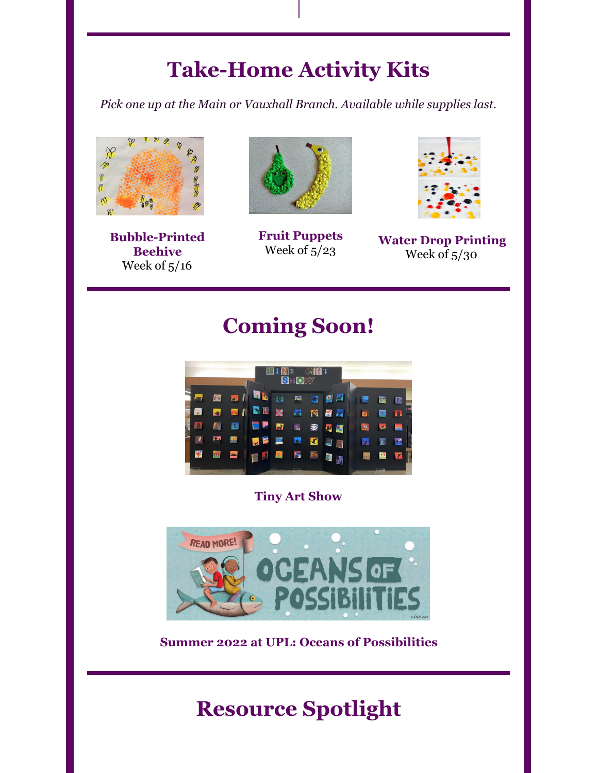## **Take-Home Activity Kits**

*Pick one up at the Main or Vauxhall Branch. Available while supplies last.*



**Bubble-Printed Beehive** Week of 5/16



**Fruit Puppets** Week of 5/23



**Water Drop Printing** Week of 5/30

### **Coming Soon!**



#### **Tiny Art Show**



**Summer 2022 at UPL: Oceans of Possibilities**

### **Resource Spotlight**